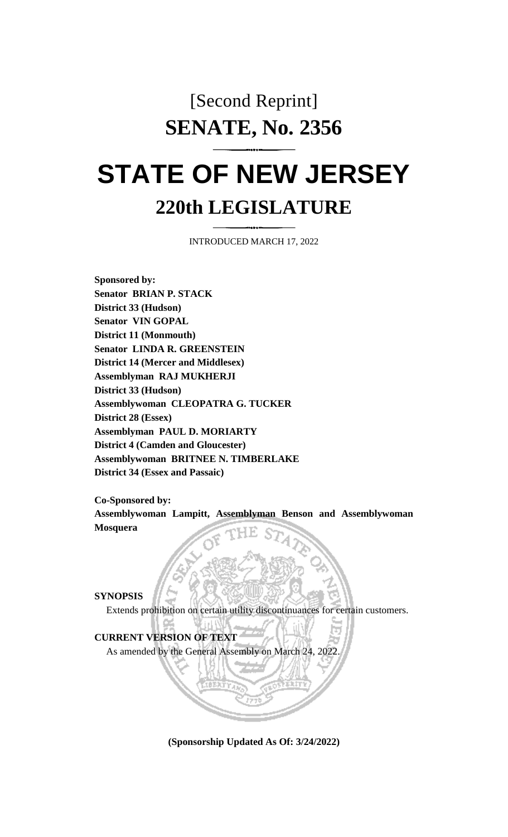## [Second Reprint] **SENATE, No. 2356**

# **STATE OF NEW JERSEY 220th LEGISLATURE**

INTRODUCED MARCH 17, 2022

**Sponsored by: Senator BRIAN P. STACK District 33 (Hudson) Senator VIN GOPAL District 11 (Monmouth) Senator LINDA R. GREENSTEIN District 14 (Mercer and Middlesex) Assemblyman RAJ MUKHERJI District 33 (Hudson) Assemblywoman CLEOPATRA G. TUCKER District 28 (Essex) Assemblyman PAUL D. MORIARTY District 4 (Camden and Gloucester) Assemblywoman BRITNEE N. TIMBERLAKE District 34 (Essex and Passaic)**

**Co-Sponsored by:**

**Assemblywoman Lampitt, Assemblyman Benson and Assemblywoman Mosquera**

**SYNOPSIS**

Extends prohibition on certain utility discontinuances for certain customers.

#### **CURRENT VERSION OF TEXT**

As amended by the General Assembly on March 24, 2022.

**(Sponsorship Updated As Of: 3/24/2022)**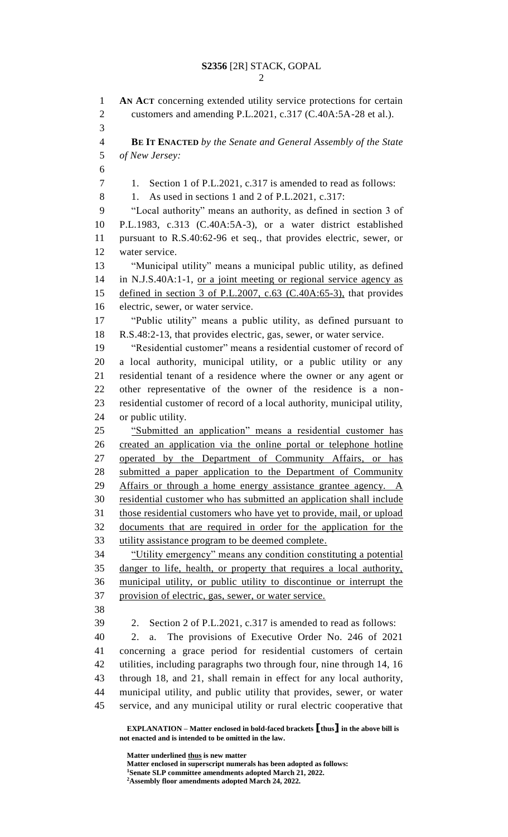**AN ACT** concerning extended utility service protections for certain customers and amending P.L.2021, c.317 (C.40A:5A-28 et al.). **BE IT ENACTED** *by the Senate and General Assembly of the State of New Jersey:* 7 1. Section 1 of P.L.2021, c.317 is amended to read as follows: 8 1. As used in sections 1 and 2 of P.L.2021, c.317: "Local authority" means an authority, as defined in section 3 of P.L.1983, c.313 (C.40A:5A-3), or a water district established pursuant to R.S.40:62-96 et seq., that provides electric, sewer, or water service. "Municipal utility" means a municipal public utility, as defined in N.J.S.40A:1-1, or a joint meeting or regional service agency as 15 defined in section 3 of P.L.2007, c.63 (C.40A:65-3), that provides electric, sewer, or water service. "Public utility" means a public utility, as defined pursuant to R.S.48:2-13, that provides electric, gas, sewer, or water service. "Residential customer" means a residential customer of record of a local authority, municipal utility, or a public utility or any residential tenant of a residence where the owner or any agent or other representative of the owner of the residence is a non- residential customer of record of a local authority, municipal utility, or public utility. "Submitted an application" means a residential customer has created an application via the online portal or telephone hotline operated by the Department of Community Affairs, or has submitted a paper application to the Department of Community Affairs or through a home energy assistance grantee agency. A residential customer who has submitted an application shall include those residential customers who have yet to provide, mail, or upload documents that are required in order for the application for the utility assistance program to be deemed complete. "Utility emergency" means any condition constituting a potential danger to life, health, or property that requires a local authority, municipal utility, or public utility to discontinue or interrupt the provision of electric, gas, sewer, or water service. 2. Section 2 of P.L.2021, c.317 is amended to read as follows: 2. a. The provisions of Executive Order No. 246 of 2021 concerning a grace period for residential customers of certain utilities, including paragraphs two through four, nine through 14, 16 through 18, and 21, shall remain in effect for any local authority, municipal utility, and public utility that provides, sewer, or water service, and any municipal utility or rural electric cooperative that

**EXPLANATION – Matter enclosed in bold-faced brackets [thus] in the above bill is not enacted and is intended to be omitted in the law.**

**Matter underlined thus is new matter**

**Matter enclosed in superscript numerals has been adopted as follows: Senate SLP committee amendments adopted March 21, 2022. Assembly floor amendments adopted March 24, 2022.**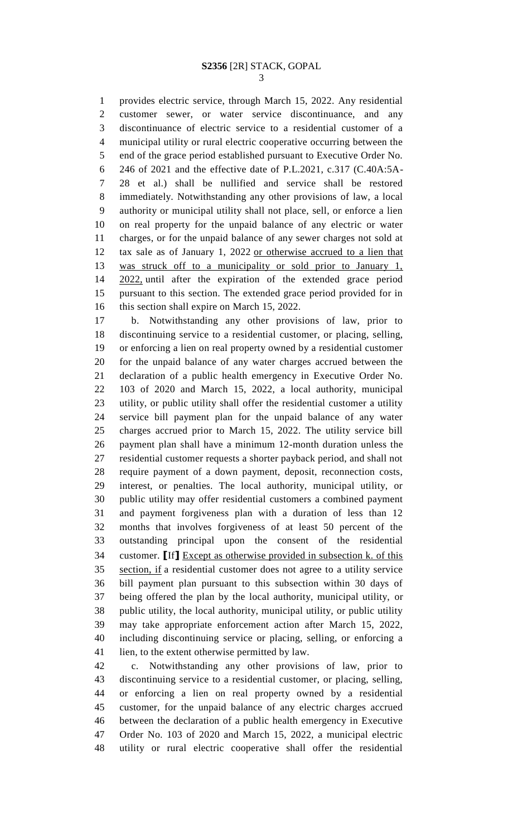provides electric service, through March 15, 2022. Any residential customer sewer, or water service discontinuance, and any discontinuance of electric service to a residential customer of a municipal utility or rural electric cooperative occurring between the end of the grace period established pursuant to Executive Order No. 246 of 2021 and the effective date of P.L.2021, c.317 (C.40A:5A- 28 et al.) shall be nullified and service shall be restored immediately. Notwithstanding any other provisions of law, a local authority or municipal utility shall not place, sell, or enforce a lien on real property for the unpaid balance of any electric or water charges, or for the unpaid balance of any sewer charges not sold at tax sale as of January 1, 2022 or otherwise accrued to a lien that was struck off to a municipality or sold prior to January 1, 2022, until after the expiration of the extended grace period pursuant to this section. The extended grace period provided for in this section shall expire on March 15, 2022.

 b. Notwithstanding any other provisions of law, prior to discontinuing service to a residential customer, or placing, selling, or enforcing a lien on real property owned by a residential customer for the unpaid balance of any water charges accrued between the declaration of a public health emergency in Executive Order No. 103 of 2020 and March 15, 2022, a local authority, municipal utility, or public utility shall offer the residential customer a utility service bill payment plan for the unpaid balance of any water charges accrued prior to March 15, 2022. The utility service bill payment plan shall have a minimum 12-month duration unless the residential customer requests a shorter payback period, and shall not require payment of a down payment, deposit, reconnection costs, interest, or penalties. The local authority, municipal utility, or public utility may offer residential customers a combined payment and payment forgiveness plan with a duration of less than 12 months that involves forgiveness of at least 50 percent of the outstanding principal upon the consent of the residential customer. **[**If**]** Except as otherwise provided in subsection k. of this section, if a residential customer does not agree to a utility service bill payment plan pursuant to this subsection within 30 days of being offered the plan by the local authority, municipal utility, or public utility, the local authority, municipal utility, or public utility may take appropriate enforcement action after March 15, 2022, including discontinuing service or placing, selling, or enforcing a lien, to the extent otherwise permitted by law.

 c. Notwithstanding any other provisions of law, prior to discontinuing service to a residential customer, or placing, selling, or enforcing a lien on real property owned by a residential customer, for the unpaid balance of any electric charges accrued between the declaration of a public health emergency in Executive Order No. 103 of 2020 and March 15, 2022, a municipal electric utility or rural electric cooperative shall offer the residential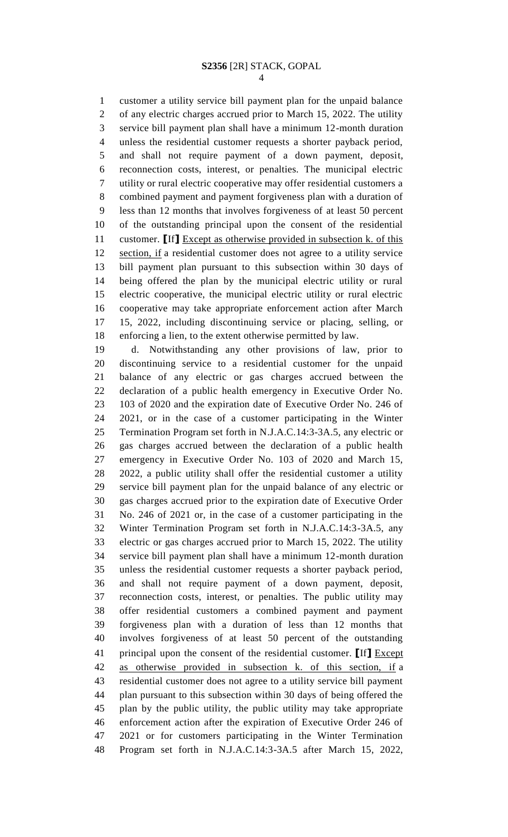customer a utility service bill payment plan for the unpaid balance of any electric charges accrued prior to March 15, 2022. The utility service bill payment plan shall have a minimum 12-month duration unless the residential customer requests a shorter payback period, and shall not require payment of a down payment, deposit, reconnection costs, interest, or penalties. The municipal electric utility or rural electric cooperative may offer residential customers a combined payment and payment forgiveness plan with a duration of less than 12 months that involves forgiveness of at least 50 percent of the outstanding principal upon the consent of the residential customer. **[**If**]** Except as otherwise provided in subsection k. of this section, if a residential customer does not agree to a utility service bill payment plan pursuant to this subsection within 30 days of being offered the plan by the municipal electric utility or rural electric cooperative, the municipal electric utility or rural electric cooperative may take appropriate enforcement action after March 15, 2022, including discontinuing service or placing, selling, or enforcing a lien, to the extent otherwise permitted by law.

 d. Notwithstanding any other provisions of law, prior to discontinuing service to a residential customer for the unpaid balance of any electric or gas charges accrued between the declaration of a public health emergency in Executive Order No. 103 of 2020 and the expiration date of Executive Order No. 246 of 2021, or in the case of a customer participating in the Winter Termination Program set forth in N.J.A.C.14:3-3A.5, any electric or gas charges accrued between the declaration of a public health emergency in Executive Order No. 103 of 2020 and March 15, 2022, a public utility shall offer the residential customer a utility service bill payment plan for the unpaid balance of any electric or gas charges accrued prior to the expiration date of Executive Order No. 246 of 2021 or, in the case of a customer participating in the Winter Termination Program set forth in N.J.A.C.14:3-3A.5, any electric or gas charges accrued prior to March 15, 2022. The utility service bill payment plan shall have a minimum 12-month duration unless the residential customer requests a shorter payback period, and shall not require payment of a down payment, deposit, reconnection costs, interest, or penalties. The public utility may offer residential customers a combined payment and payment forgiveness plan with a duration of less than 12 months that involves forgiveness of at least 50 percent of the outstanding principal upon the consent of the residential customer. **[**If**]** Except as otherwise provided in subsection k. of this section, if a residential customer does not agree to a utility service bill payment plan pursuant to this subsection within 30 days of being offered the plan by the public utility, the public utility may take appropriate enforcement action after the expiration of Executive Order 246 of 2021 or for customers participating in the Winter Termination Program set forth in N.J.A.C.14:3-3A.5 after March 15, 2022,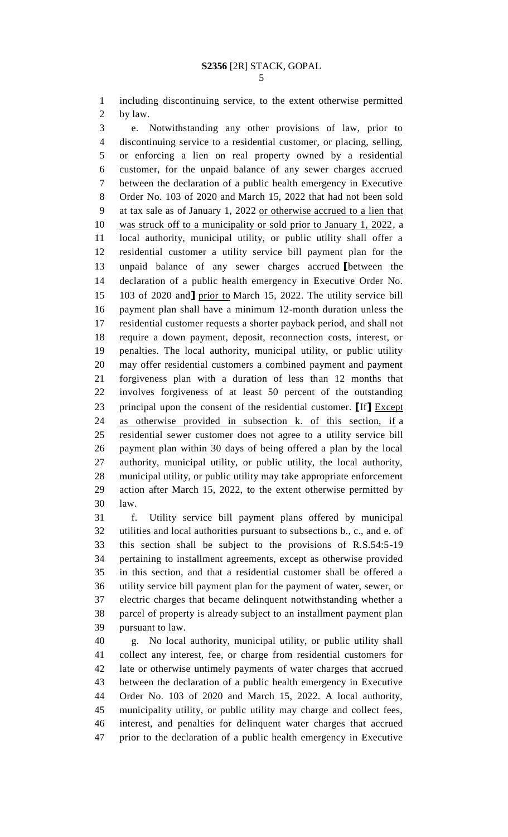including discontinuing service, to the extent otherwise permitted by law.

 e. Notwithstanding any other provisions of law, prior to discontinuing service to a residential customer, or placing, selling, or enforcing a lien on real property owned by a residential customer, for the unpaid balance of any sewer charges accrued between the declaration of a public health emergency in Executive Order No. 103 of 2020 and March 15, 2022 that had not been sold at tax sale as of January 1, 2022 or otherwise accrued to a lien that was struck off to a municipality or sold prior to January 1, 2022, a local authority, municipal utility, or public utility shall offer a residential customer a utility service bill payment plan for the unpaid balance of any sewer charges accrued **[**between the declaration of a public health emergency in Executive Order No. 103 of 2020 and**]** prior to March 15, 2022. The utility service bill payment plan shall have a minimum 12-month duration unless the residential customer requests a shorter payback period, and shall not require a down payment, deposit, reconnection costs, interest, or penalties. The local authority, municipal utility, or public utility may offer residential customers a combined payment and payment forgiveness plan with a duration of less than 12 months that involves forgiveness of at least 50 percent of the outstanding principal upon the consent of the residential customer. **[**If**]** Except as otherwise provided in subsection k. of this section, if a residential sewer customer does not agree to a utility service bill payment plan within 30 days of being offered a plan by the local authority, municipal utility, or public utility, the local authority, municipal utility, or public utility may take appropriate enforcement action after March 15, 2022, to the extent otherwise permitted by law.

 f. Utility service bill payment plans offered by municipal utilities and local authorities pursuant to subsections b., c., and e. of this section shall be subject to the provisions of R.S.54:5-19 pertaining to installment agreements, except as otherwise provided in this section, and that a residential customer shall be offered a utility service bill payment plan for the payment of water, sewer, or electric charges that became delinquent notwithstanding whether a parcel of property is already subject to an installment payment plan pursuant to law.

 g. No local authority, municipal utility, or public utility shall collect any interest, fee, or charge from residential customers for late or otherwise untimely payments of water charges that accrued between the declaration of a public health emergency in Executive Order No. 103 of 2020 and March 15, 2022. A local authority, municipality utility, or public utility may charge and collect fees, interest, and penalties for delinquent water charges that accrued prior to the declaration of a public health emergency in Executive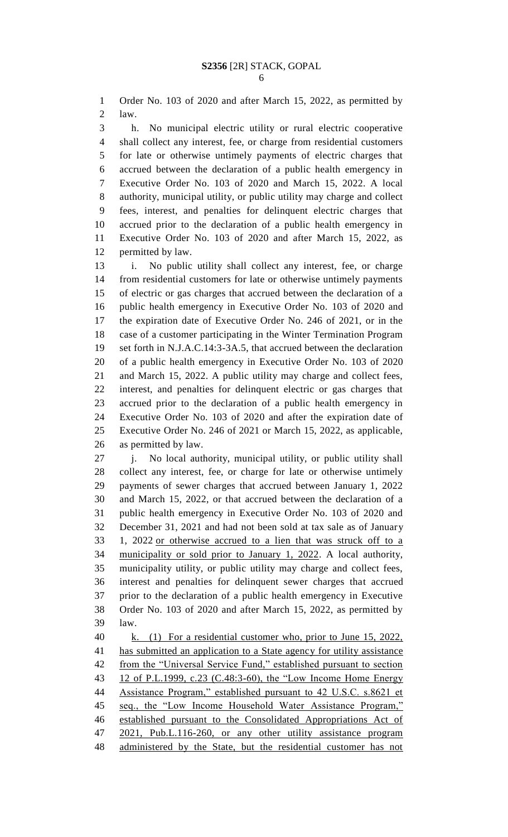Order No. 103 of 2020 and after March 15, 2022, as permitted by law.

 h. No municipal electric utility or rural electric cooperative shall collect any interest, fee, or charge from residential customers for late or otherwise untimely payments of electric charges that accrued between the declaration of a public health emergency in Executive Order No. 103 of 2020 and March 15, 2022. A local authority, municipal utility, or public utility may charge and collect fees, interest, and penalties for delinquent electric charges that accrued prior to the declaration of a public health emergency in Executive Order No. 103 of 2020 and after March 15, 2022, as permitted by law.

 i. No public utility shall collect any interest, fee, or charge from residential customers for late or otherwise untimely payments of electric or gas charges that accrued between the declaration of a public health emergency in Executive Order No. 103 of 2020 and the expiration date of Executive Order No. 246 of 2021, or in the case of a customer participating in the Winter Termination Program set forth in N.J.A.C.14:3-3A.5, that accrued between the declaration of a public health emergency in Executive Order No. 103 of 2020 and March 15, 2022. A public utility may charge and collect fees, interest, and penalties for delinquent electric or gas charges that accrued prior to the declaration of a public health emergency in Executive Order No. 103 of 2020 and after the expiration date of Executive Order No. 246 of 2021 or March 15, 2022, as applicable, as permitted by law.

 j. No local authority, municipal utility, or public utility shall collect any interest, fee, or charge for late or otherwise untimely payments of sewer charges that accrued between January 1, 2022 and March 15, 2022, or that accrued between the declaration of a public health emergency in Executive Order No. 103 of 2020 and December 31, 2021 and had not been sold at tax sale as of January 1, 2022 or otherwise accrued to a lien that was struck off to a municipality or sold prior to January 1, 2022. A local authority, municipality utility, or public utility may charge and collect fees, interest and penalties for delinquent sewer charges that accrued prior to the declaration of a public health emergency in Executive Order No. 103 of 2020 and after March 15, 2022, as permitted by law.

 k. (1) For a residential customer who, prior to June 15, 2022, has submitted an application to a State agency for utility assistance 42 from the "Universal Service Fund," established pursuant to section 12 of P.L.1999, c.23 (C.48:3-60), the "Low Income Home Energy Assistance Program," established pursuant to 42 U.S.C. s.8621 et seq., the "Low Income Household Water Assistance Program," established pursuant to the Consolidated Appropriations Act of 2021, Pub.L.116-260, or any other utility assistance program administered by the State, but the residential customer has not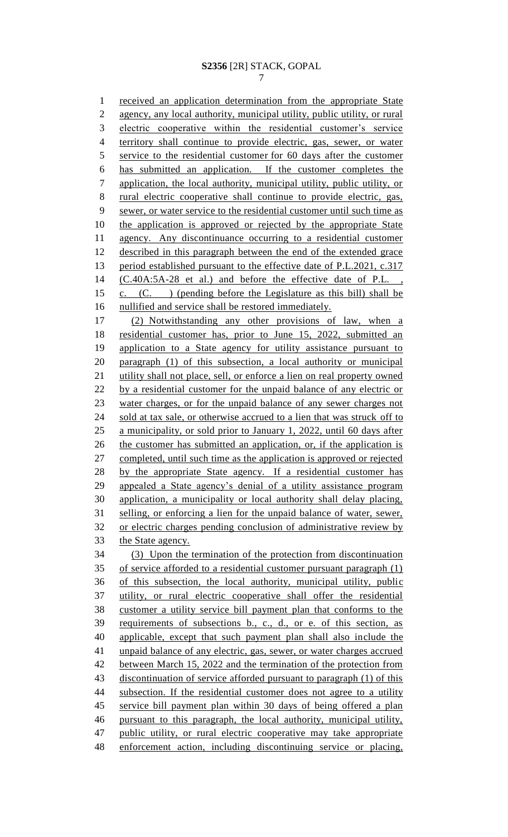received an application determination from the appropriate State agency, any local authority, municipal utility, public utility, or rural electric cooperative within the residential customer's service territory shall continue to provide electric, gas, sewer, or water service to the residential customer for 60 days after the customer has submitted an application. If the customer completes the application, the local authority, municipal utility, public utility, or rural electric cooperative shall continue to provide electric, gas, sewer, or water service to the residential customer until such time as the application is approved or rejected by the appropriate State agency. Any discontinuance occurring to a residential customer described in this paragraph between the end of the extended grace 13 period established pursuant to the effective date of P.L.2021, c.317 14 (C.40A:5A-28 et al.) and before the effective date of P.L., c. (C. ) (pending before the Legislature as this bill) shall be nullified and service shall be restored immediately. (2) Notwithstanding any other provisions of law, when a residential customer has, prior to June 15, 2022, submitted an application to a State agency for utility assistance pursuant to paragraph (1) of this subsection, a local authority or municipal 21 utility shall not place, sell, or enforce a lien on real property owned by a residential customer for the unpaid balance of any electric or water charges, or for the unpaid balance of any sewer charges not sold at tax sale, or otherwise accrued to a lien that was struck off to a municipality, or sold prior to January 1, 2022, until 60 days after 26 the customer has submitted an application, or, if the application is completed, until such time as the application is approved or rejected by the appropriate State agency. If a residential customer has appealed a State agency's denial of a utility assistance program application, a municipality or local authority shall delay placing, selling, or enforcing a lien for the unpaid balance of water, sewer, or electric charges pending conclusion of administrative review by the State agency. (3) Upon the termination of the protection from discontinuation of service afforded to a residential customer pursuant paragraph (1) of this subsection, the local authority, municipal utility, public utility, or rural electric cooperative shall offer the residential customer a utility service bill payment plan that conforms to the requirements of subsections b., c., d., or e. of this section, as applicable, except that such payment plan shall also include the unpaid balance of any electric, gas, sewer, or water charges accrued 42 between March 15, 2022 and the termination of the protection from discontinuation of service afforded pursuant to paragraph (1) of this subsection. If the residential customer does not agree to a utility service bill payment plan within 30 days of being offered a plan pursuant to this paragraph, the local authority, municipal utility, public utility, or rural electric cooperative may take appropriate enforcement action, including discontinuing service or placing,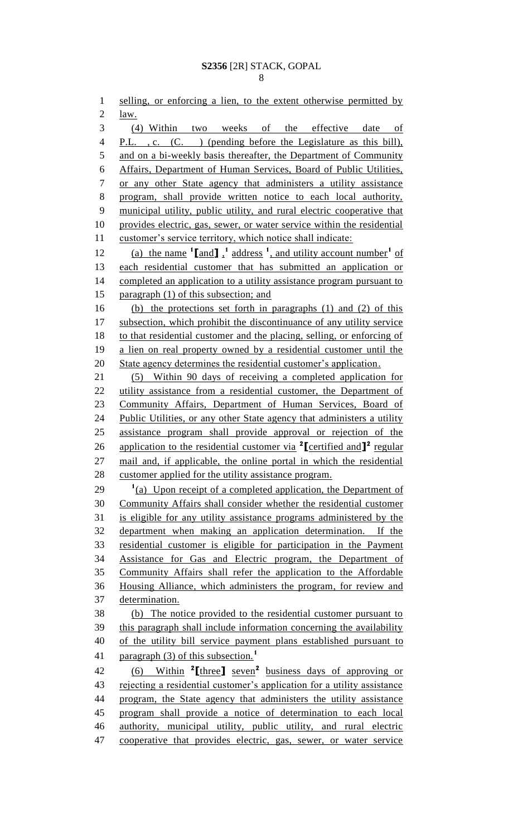1 selling, or enforcing a lien, to the extent otherwise permitted by  $law.$  (4) Within two weeks of the effective date of 4 P.L. , c. (C. ) (pending before the Legislature as this bill), and on a bi-weekly basis thereafter, the Department of Community Affairs, Department of Human Services, Board of Public Utilities, or any other State agency that administers a utility assistance program, shall provide written notice to each local authority, municipal utility, public utility, and rural electric cooperative that provides electric, gas, sewer, or water service within the residential 11 customer's service territory, which notice shall indicate: 12 (a) the name  $\left[ \text{and} \right]$ ,  $\left[ \text{and} \right]$  address  $\left[ \text{and} \right]$ , and utility account number  $\left[ \text{of} \right]$  each residential customer that has submitted an application or completed an application to a utility assistance program pursuant to paragraph (1) of this subsection; and (b) the protections set forth in paragraphs (1) and (2) of this subsection, which prohibit the discontinuance of any utility service to that residential customer and the placing, selling, or enforcing of a lien on real property owned by a residential customer until the State agency determines the residential customer's application. (5) Within 90 days of receiving a completed application for 22 utility assistance from a residential customer, the Department of 23 Community Affairs, Department of Human Services, Board of 24 Public Utilities, or any other State agency that administers a utility assistance program shall provide approval or rejection of the 26 application to the residential customer via <sup>2</sup>[certified and  $\mathbf{I}^2$  regular mail and, if applicable, the online portal in which the residential customer applied for the utility assistance program. <sup>(a)</sup> Upon receipt of a completed application, the Department of Community Affairs shall consider whether the residential customer is eligible for any utility assistance programs administered by the department when making an application determination. If the residential customer is eligible for participation in the Payment Assistance for Gas and Electric program, the Department of Community Affairs shall refer the application to the Affordable Housing Alliance, which administers the program, for review and determination. (b) The notice provided to the residential customer pursuant to this paragraph shall include information concerning the availability of the utility bill service payment plans established pursuant to paragraph (3) of this subsection.**<sup>1</sup>** (6) Within **<sup>2</sup> [**three**]** seven**<sup>2</sup>** business days of approving or 43 rejecting a residential customer's application for a utility assistance program, the State agency that administers the utility assistance program shall provide a notice of determination to each local authority, municipal utility, public utility, and rural electric 47 cooperative that provides electric, gas, sewer, or water service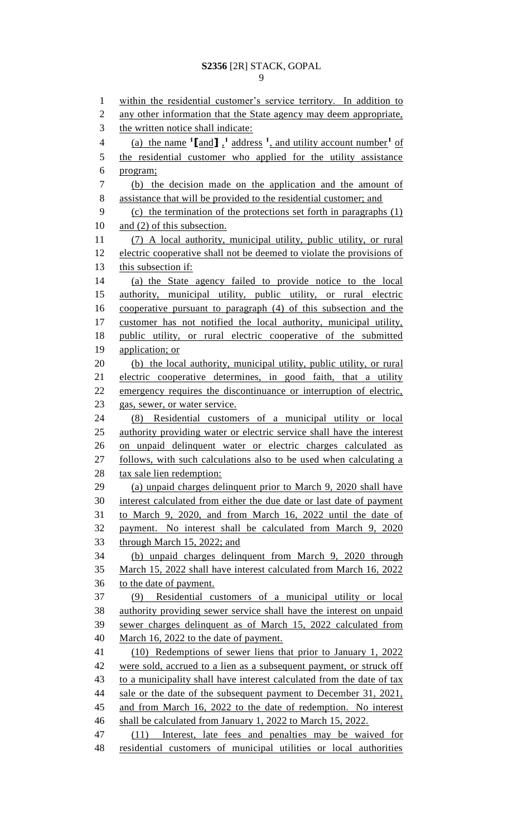within the residential customer's service territory. In addition to 2 any other information that the State agency may deem appropriate, the written notice shall indicate: 4 (a) the name  $\binom{1}{1}$ , and utility account number<sup>1</sup> of the residential customer who applied for the utility assistance program; (b) the decision made on the application and the amount of assistance that will be provided to the residential customer; and (c) the termination of the protections set forth in paragraphs (1) 10 and (2) of this subsection. (7) A local authority, municipal utility, public utility, or rural electric cooperative shall not be deemed to violate the provisions of this subsection if: (a) the State agency failed to provide notice to the local authority, municipal utility, public utility, or rural electric cooperative pursuant to paragraph (4) of this subsection and the customer has not notified the local authority, municipal utility, public utility, or rural electric cooperative of the submitted 19 application; or (b) the local authority, municipal utility, public utility, or rural electric cooperative determines, in good faith, that a utility emergency requires the discontinuance or interruption of electric, gas, sewer, or water service. (8) Residential customers of a municipal utility or local authority providing water or electric service shall have the interest on unpaid delinquent water or electric charges calculated as follows, with such calculations also to be used when calculating a tax sale lien redemption: (a) unpaid charges delinquent prior to March 9, 2020 shall have interest calculated from either the due date or last date of payment to March 9, 2020, and from March 16, 2022 until the date of payment. No interest shall be calculated from March 9, 2020 through March 15, 2022; and (b) unpaid charges delinquent from March 9, 2020 through March 15, 2022 shall have interest calculated from March 16, 2022 to the date of payment. (9) Residential customers of a municipal utility or local authority providing sewer service shall have the interest on unpaid sewer charges delinquent as of March 15, 2022 calculated from March 16, 2022 to the date of payment. (10) Redemptions of sewer liens that prior to January 1, 2022 42 were sold, accrued to a lien as a subsequent payment, or struck off to a municipality shall have interest calculated from the date of tax 44 sale or the date of the subsequent payment to December 31, 2021, and from March 16, 2022 to the date of redemption. No interest shall be calculated from January 1, 2022 to March 15, 2022. (11) Interest, late fees and penalties may be waived for residential customers of municipal utilities or local authorities